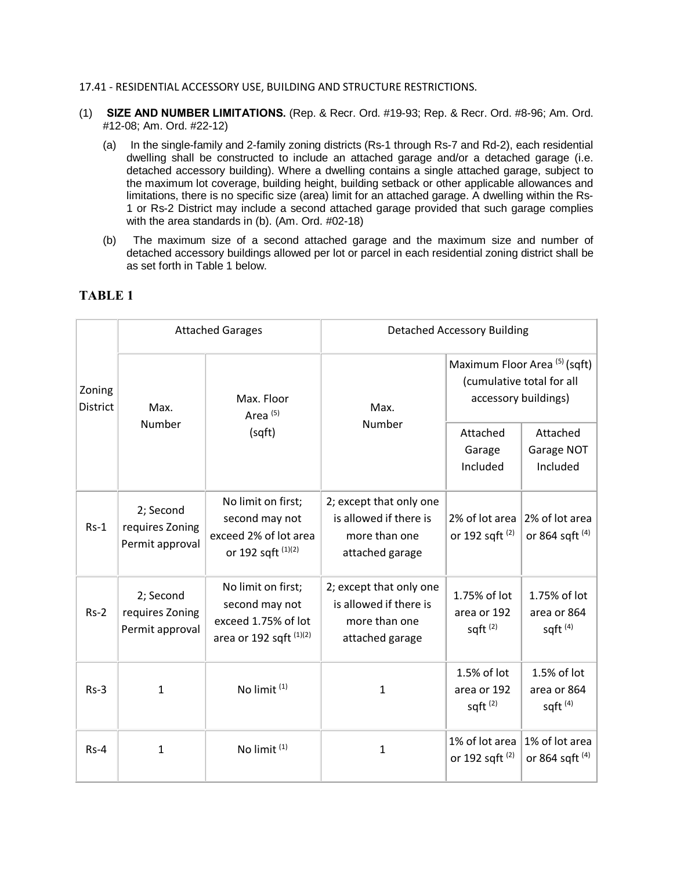## 17.41 - RESIDENTIAL ACCESSORY USE, BUILDING AND STRUCTURE RESTRICTIONS.

- (1) **SIZE AND NUMBER LIMITATIONS.** (Rep. & Recr. Ord. #19-93; Rep. & Recr. Ord. #8-96; Am. Ord. #12-08; Am. Ord. #22-12)
	- (a) In the single-family and 2-family zoning districts (Rs-1 through Rs-7 and Rd-2), each residential dwelling shall be constructed to include an attached garage and/or a detached garage (i.e. detached accessory building). Where a dwelling contains a single attached garage, subject to the maximum lot coverage, building height, building setback or other applicable allowances and limitations, there is no specific size (area) limit for an attached garage. A dwelling within the Rs-1 or Rs-2 District may include a second attached garage provided that such garage complies with the area standards in (b). (Am. Ord. #02-18)
	- (b) The maximum size of a second attached garage and the maximum size and number of detached accessory buildings allowed per lot or parcel in each residential zoning district shall be as set forth in Table 1 below.

| Zoning<br><b>District</b> | <b>Attached Garages</b>                         |                                                                                          | <b>Detached Accessory Building</b>                                                    |                                                                                    |                                              |
|---------------------------|-------------------------------------------------|------------------------------------------------------------------------------------------|---------------------------------------------------------------------------------------|------------------------------------------------------------------------------------|----------------------------------------------|
|                           | Max.<br>Number                                  | Max. Floor<br>Area <sup>(5)</sup><br>(sqft)                                              | Max.<br>Number                                                                        | Maximum Floor Area (5) (sqft)<br>(cumulative total for all<br>accessory buildings) |                                              |
|                           |                                                 |                                                                                          |                                                                                       | Attached<br>Garage<br>Included                                                     | Attached<br>Garage NOT<br>Included           |
| $Rs-1$                    | 2; Second<br>requires Zoning<br>Permit approval | No limit on first;<br>second may not<br>exceed 2% of lot area<br>or 192 sqft (1)(2)      | 2; except that only one<br>is allowed if there is<br>more than one<br>attached garage | 2% of lot area<br>or 192 sqft <sup>(2)</sup>                                       | 2% of lot area<br>or 864 sqft <sup>(4)</sup> |
| $Rs-2$                    | 2; Second<br>requires Zoning<br>Permit approval | No limit on first;<br>second may not<br>exceed 1.75% of lot<br>area or 192 sqft $(1)(2)$ | 2; except that only one<br>is allowed if there is<br>more than one<br>attached garage | 1.75% of lot<br>area or 192<br>sqft $(2)$                                          | 1.75% of lot<br>area or 864<br>sqft $(4)$    |
| $Rs-3$                    | 1                                               | No limit <sup>(1)</sup>                                                                  | 1                                                                                     | 1.5% of lot<br>area or 192<br>sqft $(2)$                                           | 1.5% of lot<br>area or 864<br>sqft $(4)$     |
| $Rs-4$                    | $\mathbf{1}$                                    | No limit <sup>(1)</sup>                                                                  | $\mathbf{1}$                                                                          | 1% of lot area<br>or 192 sqft <sup>(2)</sup>                                       | 1% of lot area<br>or 864 sqft <sup>(4)</sup> |

## **TABLE 1**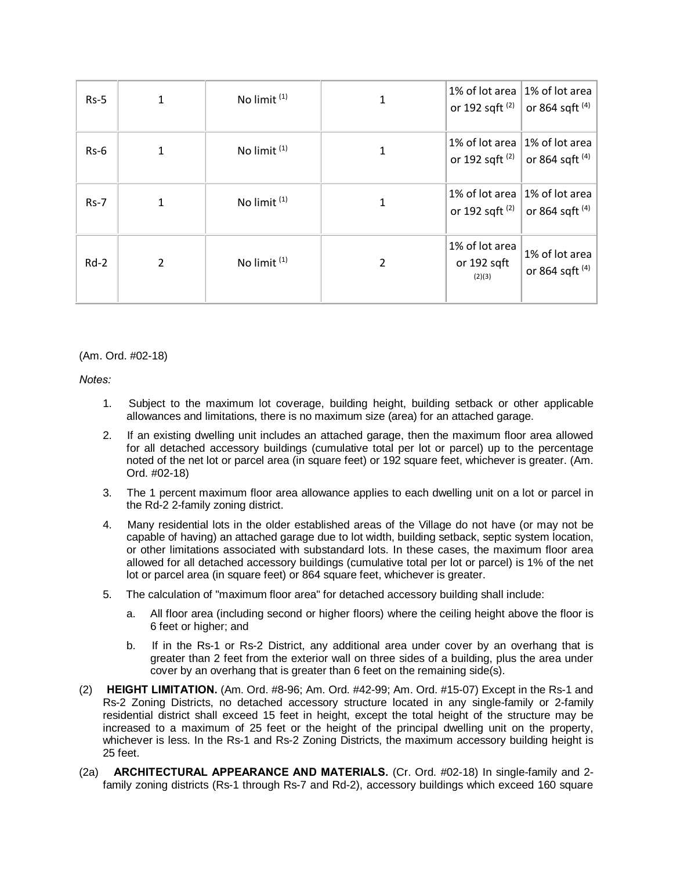| $Rs-5$ |   | No limit <sup>(1)</sup> | 1% of lot area<br>or 192 sqft $(2)$     | 1% of lot area<br>or 864 sqft (4)                           |
|--------|---|-------------------------|-----------------------------------------|-------------------------------------------------------------|
| $Rs-6$ | 1 | No limit <sup>(1)</sup> | or 192 sqft $(2)$                       | 1% of lot area 1% of lot area<br>or 864 sqft <sup>(4)</sup> |
| $Rs-7$ |   | No limit <sup>(1)</sup> | 1% of lot area<br>or 192 sqft $(2)$     | 1% of lot area<br>or 864 sqft <sup>(4)</sup>                |
| $Rd-2$ | 2 | No limit <sup>(1)</sup> | 1% of lot area<br>or 192 sqft<br>(2)(3) | 1% of lot area<br>or 864 sqft <sup>(4)</sup>                |

(Am. Ord. #02-18)

*Notes:*

- 1. Subject to the maximum lot coverage, building height, building setback or other applicable allowances and limitations, there is no maximum size (area) for an attached garage.
- 2. If an existing dwelling unit includes an attached garage, then the maximum floor area allowed for all detached accessory buildings (cumulative total per lot or parcel) up to the percentage noted of the net lot or parcel area (in square feet) or 192 square feet, whichever is greater. (Am. Ord. #02-18)
- 3. The 1 percent maximum floor area allowance applies to each dwelling unit on a lot or parcel in the Rd-2 2-family zoning district.
- 4. Many residential lots in the older established areas of the Village do not have (or may not be capable of having) an attached garage due to lot width, building setback, septic system location, or other limitations associated with substandard lots. In these cases, the maximum floor area allowed for all detached accessory buildings (cumulative total per lot or parcel) is 1% of the net lot or parcel area (in square feet) or 864 square feet, whichever is greater.
- 5. The calculation of "maximum floor area" for detached accessory building shall include:
	- a. All floor area (including second or higher floors) where the ceiling height above the floor is 6 feet or higher; and
	- b. If in the Rs-1 or Rs-2 District, any additional area under cover by an overhang that is greater than 2 feet from the exterior wall on three sides of a building, plus the area under cover by an overhang that is greater than 6 feet on the remaining side(s).
- (2) **HEIGHT LIMITATION.** (Am. Ord. #8-96; Am. Ord. #42-99; Am. Ord. #15-07) Except in the Rs-1 and Rs-2 Zoning Districts, no detached accessory structure located in any single-family or 2-family residential district shall exceed 15 feet in height, except the total height of the structure may be increased to a maximum of 25 feet or the height of the principal dwelling unit on the property, whichever is less. In the Rs-1 and Rs-2 Zoning Districts, the maximum accessory building height is 25 feet.
- (2a) **ARCHITECTURAL APPEARANCE AND MATERIALS.** (Cr. Ord. #02-18) In single-family and 2 family zoning districts (Rs-1 through Rs-7 and Rd-2), accessory buildings which exceed 160 square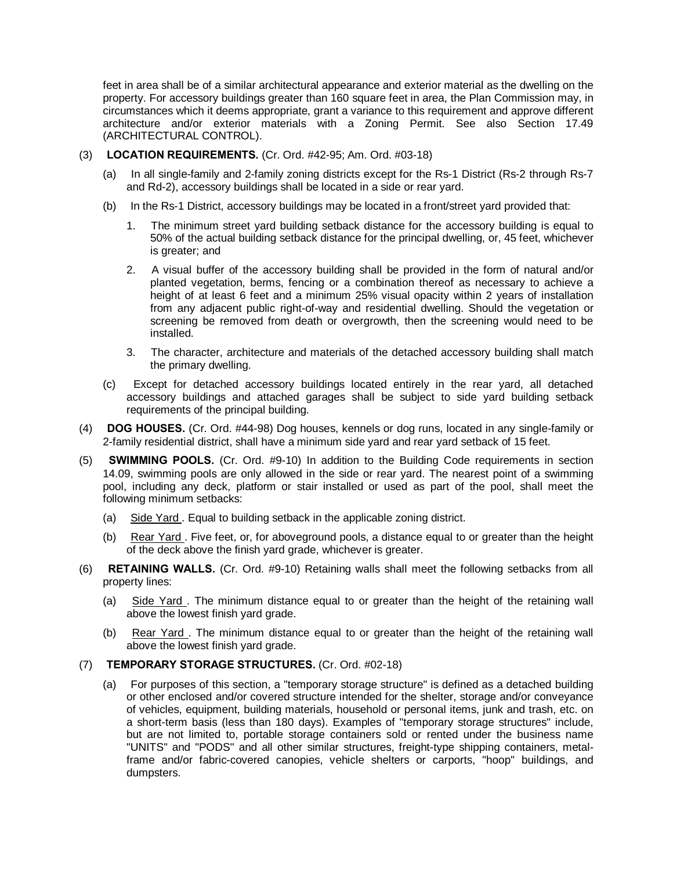feet in area shall be of a similar architectural appearance and exterior material as the dwelling on the property. For accessory buildings greater than 160 square feet in area, the Plan Commission may, in circumstances which it deems appropriate, grant a variance to this requirement and approve different architecture and/or exterior materials with a Zoning Permit. See also Section 17.49 (ARCHITECTURAL CONTROL).

- (3) **LOCATION REQUIREMENTS.** (Cr. Ord. #42-95; Am. Ord. #03-18)
	- (a) In all single-family and 2-family zoning districts except for the Rs-1 District (Rs-2 through Rs-7 and Rd-2), accessory buildings shall be located in a side or rear yard.
	- (b) In the Rs-1 District, accessory buildings may be located in a front/street yard provided that:
		- 1. The minimum street yard building setback distance for the accessory building is equal to 50% of the actual building setback distance for the principal dwelling, or, 45 feet, whichever is greater; and
		- 2. A visual buffer of the accessory building shall be provided in the form of natural and/or planted vegetation, berms, fencing or a combination thereof as necessary to achieve a height of at least 6 feet and a minimum 25% visual opacity within 2 years of installation from any adjacent public right-of-way and residential dwelling. Should the vegetation or screening be removed from death or overgrowth, then the screening would need to be installed.
		- 3. The character, architecture and materials of the detached accessory building shall match the primary dwelling.
	- (c) Except for detached accessory buildings located entirely in the rear yard, all detached accessory buildings and attached garages shall be subject to side yard building setback requirements of the principal building.
- (4) **DOG HOUSES.** (Cr. Ord. #44-98) Dog houses, kennels or dog runs, located in any single-family or 2-family residential district, shall have a minimum side yard and rear yard setback of 15 feet.
- (5) **SWIMMING POOLS.** (Cr. Ord. #9-10) In addition to the Building Code requirements in section 14.09, swimming pools are only allowed in the side or rear yard. The nearest point of a swimming pool, including any deck, platform or stair installed or used as part of the pool, shall meet the following minimum setbacks:
	- (a) Side Yard . Equal to building setback in the applicable zoning district.
	- (b) Rear Yard . Five feet, or, for aboveground pools, a distance equal to or greater than the height of the deck above the finish yard grade, whichever is greater.
- (6) **RETAINING WALLS.** (Cr. Ord. #9-10) Retaining walls shall meet the following setbacks from all property lines:
	- (a) Side Yard . The minimum distance equal to or greater than the height of the retaining wall above the lowest finish yard grade.
	- (b) Rear Yard . The minimum distance equal to or greater than the height of the retaining wall above the lowest finish yard grade.

## (7) **TEMPORARY STORAGE STRUCTURES.** (Cr. Ord. #02-18)

(a) For purposes of this section, a "temporary storage structure" is defined as a detached building or other enclosed and/or covered structure intended for the shelter, storage and/or conveyance of vehicles, equipment, building materials, household or personal items, junk and trash, etc. on a short-term basis (less than 180 days). Examples of "temporary storage structures" include, but are not limited to, portable storage containers sold or rented under the business name "UNITS" and "PODS" and all other similar structures, freight-type shipping containers, metalframe and/or fabric-covered canopies, vehicle shelters or carports, "hoop" buildings, and dumpsters.